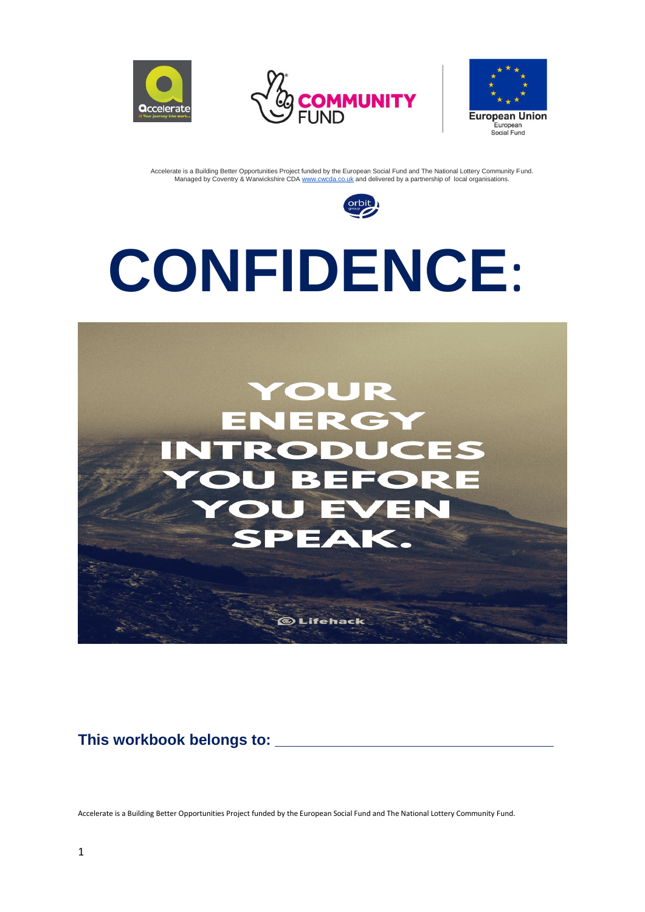







# **CONFIDENCE**:



**This workbook belongs to: \_\_\_\_\_\_\_\_\_\_\_\_\_\_\_\_\_\_\_\_\_\_\_\_\_\_\_\_\_\_\_\_\_**

Accelerate is a Building Better Opportunities Project funded by the European Social Fund and The National Lottery Community Fund.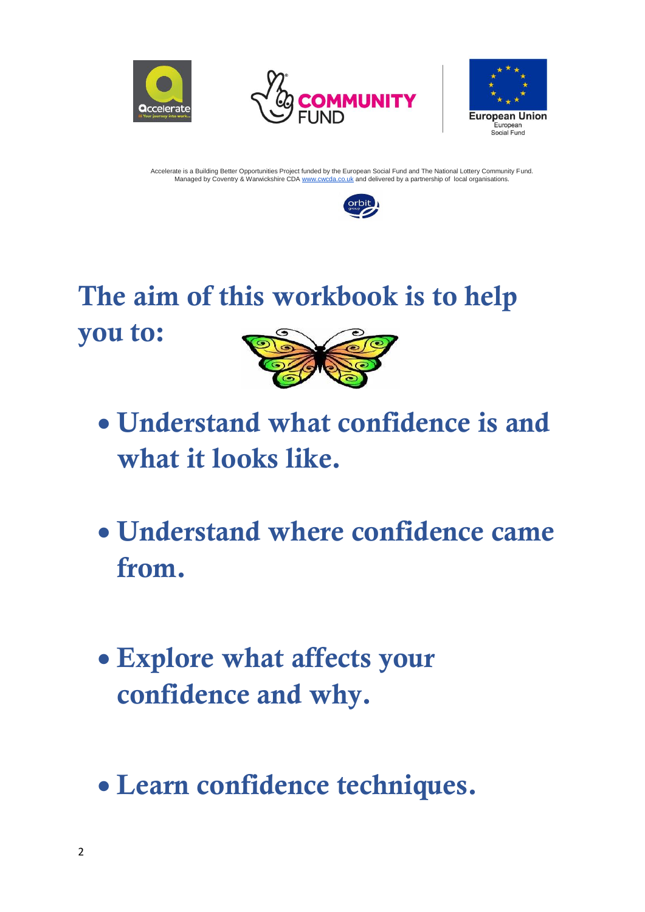







### The aim of this workbook is to help you to:



- Understand what confidence is and what it looks like.
- Understand where confidence came from.
- Explore what affects your confidence and why.
- Learn confidence techniques.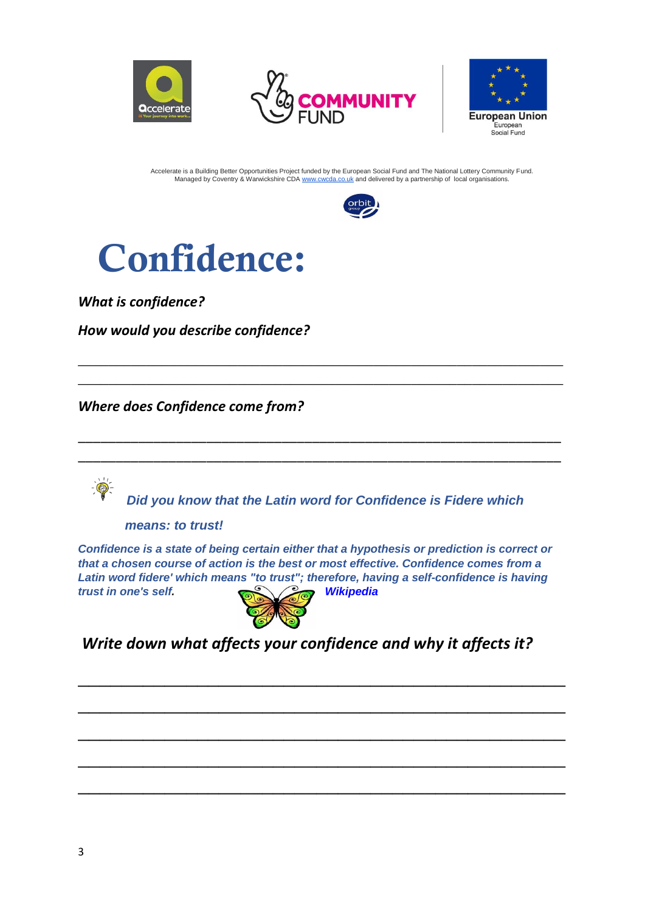









*What is confidence?*

*How would you describe confidence?*

*Where does Confidence come from?*

*Did you know that the Latin word for Confidence is Fidere which* 

\_\_\_\_\_\_\_\_\_\_\_\_\_\_\_\_\_\_\_\_\_\_\_\_\_\_\_\_\_\_\_\_\_\_\_\_\_\_\_\_\_\_\_\_\_\_\_\_\_\_\_\_\_\_\_\_\_\_\_\_\_\_\_\_ \_\_\_\_\_\_\_\_\_\_\_\_\_\_\_\_\_\_\_\_\_\_\_\_\_\_\_\_\_\_\_\_\_\_\_\_\_\_\_\_\_\_\_\_\_\_\_\_\_\_\_\_\_\_\_\_\_\_\_\_\_\_\_\_

\_\_\_\_\_\_\_\_\_\_\_\_\_\_\_\_\_\_\_\_\_\_\_\_\_\_\_\_\_\_\_\_\_\_\_\_\_\_\_\_\_\_\_\_\_\_\_\_\_\_\_\_\_\_\_\_\_\_\_\_\_\_\_\_ \_\_\_\_\_\_\_\_\_\_\_\_\_\_\_\_\_\_\_\_\_\_\_\_\_\_\_\_\_\_\_\_\_\_\_\_\_\_\_\_\_\_\_\_\_\_\_\_\_\_\_\_\_\_\_\_\_\_\_\_\_\_\_\_

 *means: to trust!*

*Confidence is a state of being certain either that a hypothesis or prediction is correct or that a chosen course of action is the best or most effective. Confidence comes from a Latin word fidere' which means "to trust"; therefore, having a self-confidence is having trust in one's self. Wikipedia* 



*Write down what affects your confidence and why it affects it?*

 $\mathcal{L}_\text{max}$  , and the contract of the contract of the contract of the contract of the contract of the contract of the contract of the contract of the contract of the contract of the contract of the contract of the contr

 $\overline{\phantom{a}}$  , and the contract of the contract of the contract of the contract of the contract of the contract of the contract of the contract of the contract of the contract of the contract of the contract of the contrac

 $\mathcal{L}_\text{max}$  , and the contract of the contract of the contract of the contract of the contract of the contract of the contract of the contract of the contract of the contract of the contract of the contract of the contr

 $\overline{\phantom{a}}$  , and the contract of the contract of the contract of the contract of the contract of the contract of the contract of the contract of the contract of the contract of the contract of the contract of the contrac

 $\overline{\phantom{a}}$  , and the contract of the contract of the contract of the contract of the contract of the contract of the contract of the contract of the contract of the contract of the contract of the contract of the contrac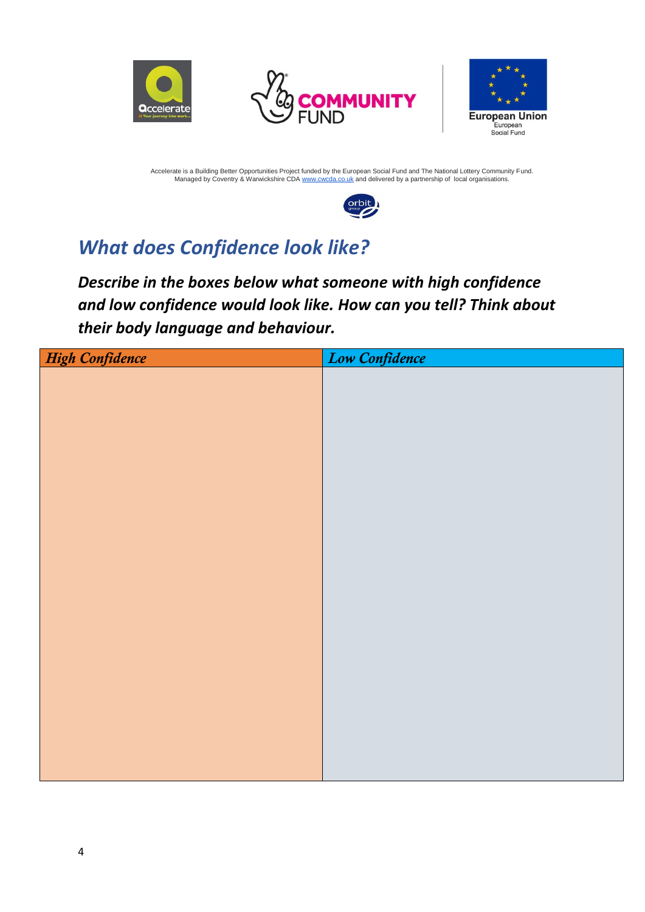







### *What does Confidence look like?*

*Describe in the boxes below what someone with high confidence and low confidence would look like. How can you tell? Think about their body language and behaviour.*

| High Confidence | Low Confidence |
|-----------------|----------------|
|                 |                |
|                 |                |
|                 |                |
|                 |                |
|                 |                |
|                 |                |
|                 |                |
|                 |                |
|                 |                |
|                 |                |
|                 |                |
|                 |                |
|                 |                |
|                 |                |
|                 |                |
|                 |                |
|                 |                |
|                 |                |
|                 |                |
|                 |                |
|                 |                |
|                 |                |
|                 |                |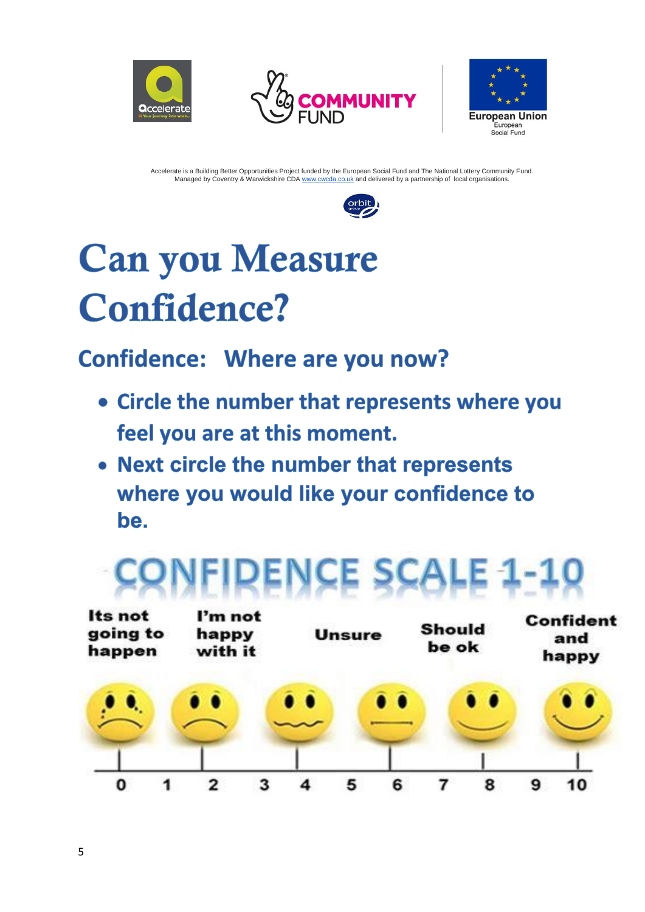







## **Can you Measure Confidence?**

### **Confidence: Where are you now?**

- Circle the number that represents where you feel you are at this moment.
- Next circle the number that represents where you would like your confidence to be.

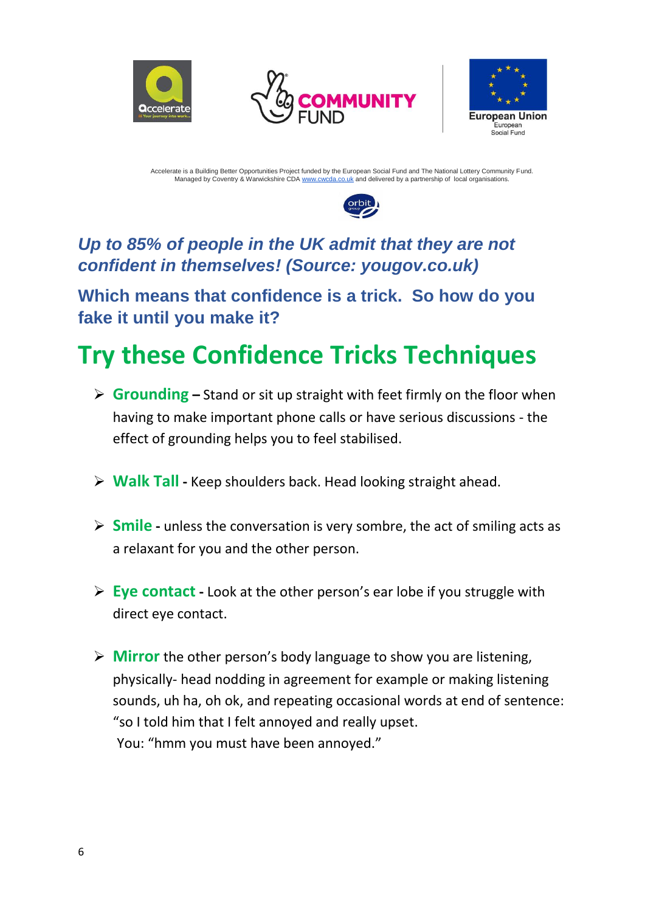







### *Up to 85% of people in the UK admit that they are not confident in themselves! (Source: yougov.co.uk)*

**Which means that confidence is a trick. So how do you fake it until you make it?**

### **Try these Confidence Tricks Techniques**

- ➢ **Grounding –** Stand or sit up straight with feet firmly on the floor when having to make important phone calls or have serious discussions - the effect of grounding helps you to feel stabilised.
- ➢ **Walk Tall -** Keep shoulders back. Head looking straight ahead.
- ➢ **Smile -** unless the conversation is very sombre, the act of smiling acts as a relaxant for you and the other person.
- ➢ **Eye contact -** Look at the other person's ear lobe if you struggle with direct eye contact.
- ➢ **Mirror** the other person's body language to show you are listening, physically- head nodding in agreement for example or making listening sounds, uh ha, oh ok, and repeating occasional words at end of sentence: "so I told him that I felt annoyed and really upset. You: "hmm you must have been annoyed."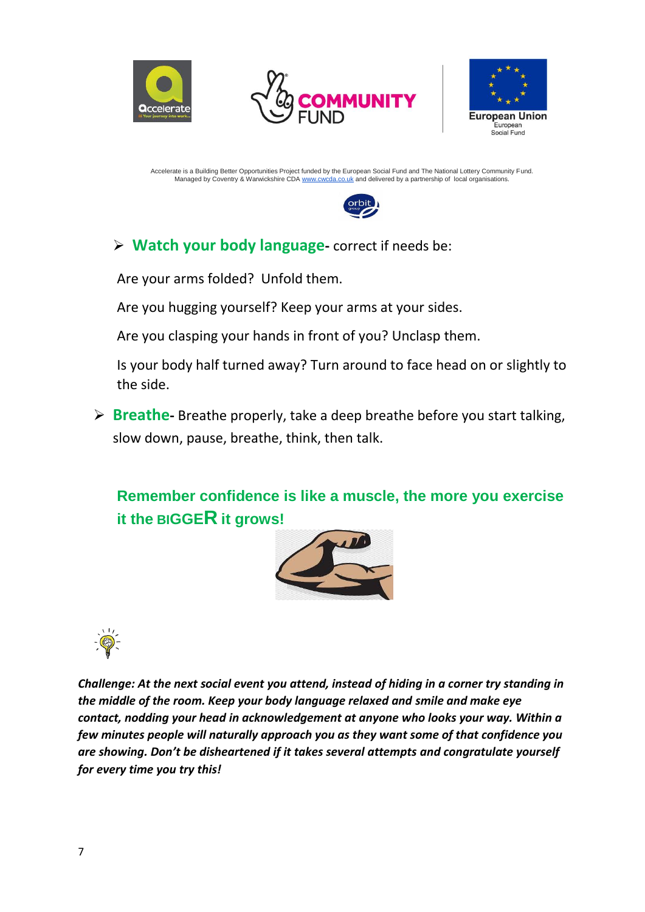







### ➢ **Watch your body language-** correct if needs be:

Are your arms folded? Unfold them.

Are you hugging yourself? Keep your arms at your sides.

Are you clasping your hands in front of you? Unclasp them.

Is your body half turned away? Turn around to face head on or slightly to the side.

➢ **Breathe-** Breathe properly, take a deep breathe before you start talking, slow down, pause, breathe, think, then talk.

**Remember confidence is like a muscle, the more you exercise it the BIGGER it grows!** 





*Challenge: At the next social event you attend, instead of hiding in a corner try standing in the middle of the room. Keep your body language relaxed and smile and make eye contact, nodding your head in acknowledgement at anyone who looks your way. Within a few minutes people will naturally approach you as they want some of that confidence you are showing. Don't be disheartened if it takes several attempts and congratulate yourself for every time you try this!*